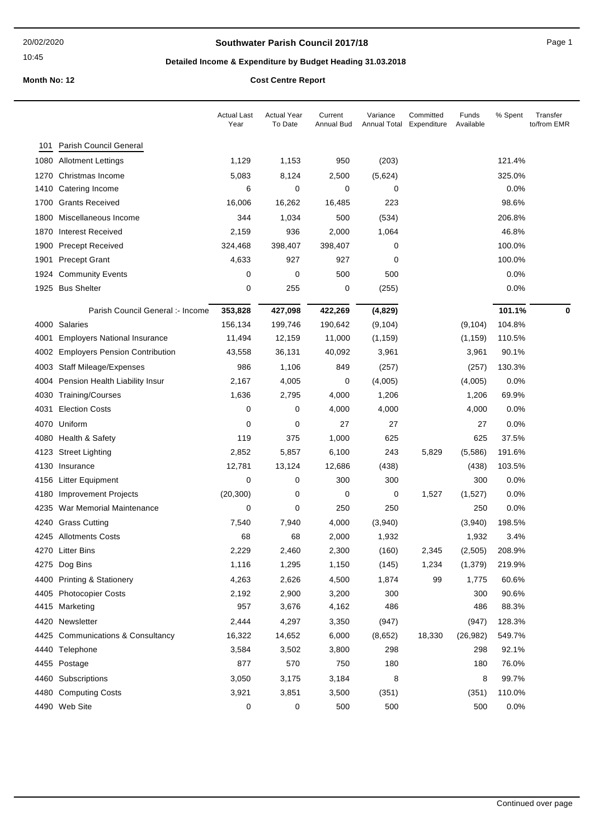## **Southwater Parish Council 2017/18** Page 1

# **Detailed Income & Expenditure by Budget Heading 31.03.2018**

|      |                                       | <b>Actual Last</b><br>Year | <b>Actual Year</b><br>To Date | Current<br>Annual Bud | Variance<br>Annual Total | Committed<br>Expenditure | Funds<br>Available | % Spent | Transfer<br>to/from EMR |
|------|---------------------------------------|----------------------------|-------------------------------|-----------------------|--------------------------|--------------------------|--------------------|---------|-------------------------|
| 101  | <b>Parish Council General</b>         |                            |                               |                       |                          |                          |                    |         |                         |
| 1080 | <b>Allotment Lettings</b>             | 1,129                      | 1,153                         | 950                   | (203)                    |                          |                    | 121.4%  |                         |
| 1270 | Christmas Income                      | 5,083                      | 8,124                         | 2,500                 | (5,624)                  |                          |                    | 325.0%  |                         |
| 1410 | Catering Income                       | 6                          | 0                             | 0                     | 0                        |                          |                    | 0.0%    |                         |
| 1700 | <b>Grants Received</b>                | 16,006                     | 16,262                        | 16,485                | 223                      |                          |                    | 98.6%   |                         |
| 1800 | Miscellaneous Income                  | 344                        | 1,034                         | 500                   | (534)                    |                          |                    | 206.8%  |                         |
| 1870 | <b>Interest Received</b>              | 2,159                      | 936                           | 2,000                 | 1,064                    |                          |                    | 46.8%   |                         |
| 1900 | <b>Precept Received</b>               | 324,468                    | 398,407                       | 398,407               | 0                        |                          |                    | 100.0%  |                         |
| 1901 | <b>Precept Grant</b>                  | 4,633                      | 927                           | 927                   | 0                        |                          |                    | 100.0%  |                         |
| 1924 | <b>Community Events</b>               | 0                          | 0                             | 500                   | 500                      |                          |                    | 0.0%    |                         |
|      | 1925 Bus Shelter                      | 0                          | 255                           | 0                     | (255)                    |                          |                    | 0.0%    |                         |
|      | Parish Council General :- Income      | 353,828                    | 427,098                       | 422,269               | (4,829)                  |                          |                    | 101.1%  | 0                       |
|      | 4000 Salaries                         | 156,134                    | 199,746                       | 190,642               | (9, 104)                 |                          | (9, 104)           | 104.8%  |                         |
| 4001 | <b>Employers National Insurance</b>   | 11,494                     | 12,159                        | 11,000                | (1, 159)                 |                          | (1, 159)           | 110.5%  |                         |
| 4002 | <b>Employers Pension Contribution</b> | 43,558                     | 36,131                        | 40,092                | 3,961                    |                          | 3,961              | 90.1%   |                         |
| 4003 | <b>Staff Mileage/Expenses</b>         | 986                        | 1,106                         | 849                   | (257)                    |                          | (257)              | 130.3%  |                         |
| 4004 | Pension Health Liability Insur        | 2,167                      | 4,005                         | 0                     | (4,005)                  |                          | (4,005)            | 0.0%    |                         |
| 4030 | Training/Courses                      | 1,636                      | 2,795                         | 4,000                 | 1,206                    |                          | 1,206              | 69.9%   |                         |
| 4031 | <b>Election Costs</b>                 | 0                          | 0                             | 4,000                 | 4,000                    |                          | 4,000              | 0.0%    |                         |
| 4070 | Uniform                               | 0                          | 0                             | 27                    | 27                       |                          | 27                 | 0.0%    |                         |
|      | 4080 Health & Safety                  | 119                        | 375                           | 1,000                 | 625                      |                          | 625                | 37.5%   |                         |
| 4123 | <b>Street Lighting</b>                | 2,852                      | 5,857                         | 6,100                 | 243                      | 5,829                    | (5,586)            | 191.6%  |                         |
| 4130 | Insurance                             | 12,781                     | 13,124                        | 12,686                | (438)                    |                          | (438)              | 103.5%  |                         |
| 4156 | Litter Equipment                      | 0                          | 0                             | 300                   | 300                      |                          | 300                | 0.0%    |                         |
| 4180 | <b>Improvement Projects</b>           | (20, 300)                  | 0                             | 0                     | 0                        | 1,527                    | (1,527)            | 0.0%    |                         |
| 4235 | War Memorial Maintenance              | 0                          | 0                             | 250                   | 250                      |                          | 250                | 0.0%    |                         |
| 4240 | <b>Grass Cutting</b>                  | 7,540                      | 7,940                         | 4,000                 | (3,940)                  |                          | (3,940)            | 198.5%  |                         |
| 4245 | <b>Allotments Costs</b>               | 68                         | 68                            | 2,000                 | 1,932                    |                          | 1,932              | 3.4%    |                         |
|      | 4270 Litter Bins                      | 2,229                      | 2,460                         | 2,300                 | (160)                    | 2,345                    | (2,505)            | 208.9%  |                         |
|      | 4275 Dog Bins                         | 1,116                      | 1,295                         | 1,150                 | (145)                    | 1,234                    | (1, 379)           | 219.9%  |                         |
| 4400 | <b>Printing &amp; Stationery</b>      | 4,263                      | 2,626                         | 4,500                 | 1,874                    | 99                       | 1,775              | 60.6%   |                         |
|      | 4405 Photocopier Costs                | 2,192                      | 2,900                         | 3,200                 | 300                      |                          | 300                | 90.6%   |                         |
|      | 4415 Marketing                        | 957                        | 3,676                         | 4,162                 | 486                      |                          | 486                | 88.3%   |                         |
|      | 4420 Newsletter                       | 2,444                      | 4,297                         | 3,350                 | (947)                    |                          | (947)              | 128.3%  |                         |
|      | 4425 Communications & Consultancy     | 16,322                     | 14,652                        | 6,000                 | (8,652)                  | 18,330                   | (26, 982)          | 549.7%  |                         |
|      | 4440 Telephone                        | 3,584                      | 3,502                         | 3,800                 | 298                      |                          | 298                | 92.1%   |                         |
|      | 4455 Postage                          | 877                        | 570                           | 750                   | 180                      |                          | 180                | 76.0%   |                         |
| 4460 | Subscriptions                         | 3,050                      | 3,175                         | 3,184                 | 8                        |                          | 8                  | 99.7%   |                         |
|      | 4480 Computing Costs                  | 3,921                      | 3,851                         | 3,500                 | (351)                    |                          | (351)              | 110.0%  |                         |
|      | 4490 Web Site                         | 0                          | 0                             | 500                   | 500                      |                          | 500                | 0.0%    |                         |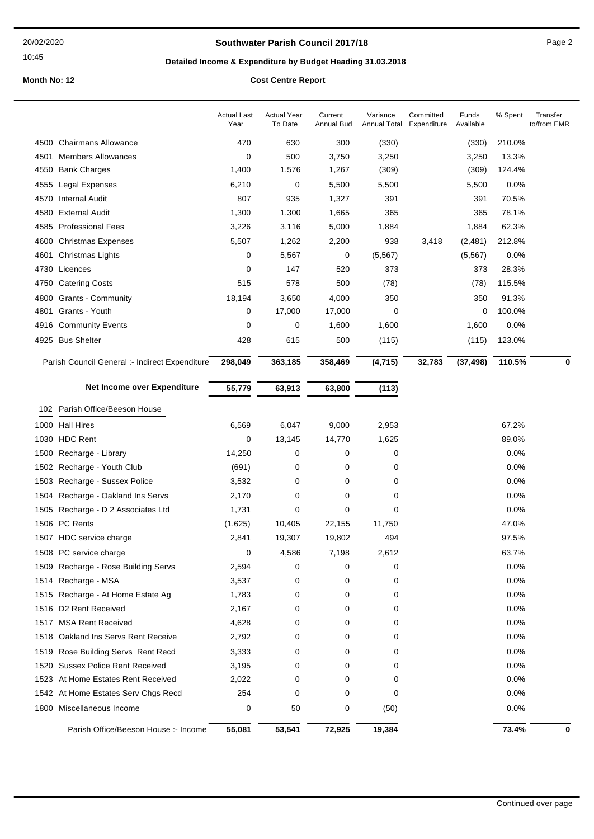## **Southwater Parish Council 2017/18** Page 2

# **Detailed Income & Expenditure by Budget Heading 31.03.2018**

|      |                                                | <b>Actual Last</b><br>Year | <b>Actual Year</b><br>To Date | Current<br>Annual Bud | Variance<br>Annual Total | Committed<br>Expenditure | Funds<br>Available | % Spent | Transfer<br>to/from EMR |
|------|------------------------------------------------|----------------------------|-------------------------------|-----------------------|--------------------------|--------------------------|--------------------|---------|-------------------------|
|      | 4500 Chairmans Allowance                       | 470                        | 630                           | 300                   | (330)                    |                          | (330)              | 210.0%  |                         |
| 4501 | <b>Members Allowances</b>                      | 0                          | 500                           | 3,750                 | 3,250                    |                          | 3,250              | 13.3%   |                         |
| 4550 | <b>Bank Charges</b>                            | 1,400                      | 1,576                         | 1,267                 | (309)                    |                          | (309)              | 124.4%  |                         |
| 4555 | Legal Expenses                                 | 6,210                      | 0                             | 5,500                 | 5,500                    |                          | 5,500              | 0.0%    |                         |
| 4570 | <b>Internal Audit</b>                          | 807                        | 935                           | 1,327                 | 391                      |                          | 391                | 70.5%   |                         |
| 4580 | <b>External Audit</b>                          | 1,300                      | 1,300                         | 1,665                 | 365                      |                          | 365                | 78.1%   |                         |
| 4585 | <b>Professional Fees</b>                       | 3,226                      | 3,116                         | 5,000                 | 1,884                    |                          | 1,884              | 62.3%   |                         |
| 4600 | <b>Christmas Expenses</b>                      | 5,507                      | 1,262                         | 2,200                 | 938                      | 3,418                    | (2,481)            | 212.8%  |                         |
| 4601 | Christmas Lights                               | 0                          | 5,567                         | 0                     | (5, 567)                 |                          | (5, 567)           | 0.0%    |                         |
| 4730 | Licences                                       | 0                          | 147                           | 520                   | 373                      |                          | 373                | 28.3%   |                         |
| 4750 | <b>Catering Costs</b>                          | 515                        | 578                           | 500                   | (78)                     |                          | (78)               | 115.5%  |                         |
| 4800 | <b>Grants - Community</b>                      | 18,194                     | 3,650                         | 4,000                 | 350                      |                          | 350                | 91.3%   |                         |
| 4801 | Grants - Youth                                 | 0                          | 17,000                        | 17,000                | 0                        |                          | 0                  | 100.0%  |                         |
|      | 4916 Community Events                          | 0                          | 0                             | 1,600                 | 1,600                    |                          | 1,600              | 0.0%    |                         |
|      | 4925 Bus Shelter                               | 428                        | 615                           | 500                   | (115)                    |                          | (115)              | 123.0%  |                         |
|      | Parish Council General :- Indirect Expenditure | 298,049                    | 363,185                       | 358,469               | (4, 715)                 | 32,783                   | (37, 498)          | 110.5%  | 0                       |
|      | Net Income over Expenditure                    | 55,779                     | 63,913                        | 63,800                | (113)                    |                          |                    |         |                         |
|      |                                                |                            |                               |                       |                          |                          |                    |         |                         |
|      | 102 Parish Office/Beeson House                 |                            |                               |                       |                          |                          |                    |         |                         |
|      | 1000 Hall Hires                                | 6,569                      | 6,047                         | 9,000                 | 2,953                    |                          |                    | 67.2%   |                         |
|      | 1030 HDC Rent                                  | 0                          | 13,145                        | 14,770                | 1,625                    |                          |                    | 89.0%   |                         |
|      | 1500 Recharge - Library                        | 14,250                     | 0                             | 0                     | 0                        |                          |                    | 0.0%    |                         |
| 1502 | Recharge - Youth Club                          | (691)                      | 0                             | 0                     | 0                        |                          |                    | 0.0%    |                         |
|      | 1503 Recharge - Sussex Police                  | 3,532                      | 0                             | 0                     | 0                        |                          |                    | 0.0%    |                         |
| 1504 | Recharge - Oakland Ins Servs                   | 2,170                      | 0                             | 0                     | 0                        |                          |                    | 0.0%    |                         |
| 1505 | Recharge - D 2 Associates Ltd                  | 1,731                      | 0                             | 0                     | 0                        |                          |                    | 0.0%    |                         |
|      | 1506 PC Rents                                  | (1,625)                    | 10,405                        | 22,155                | 11,750                   |                          |                    | 47.0%   |                         |
|      | 1507 HDC service charge                        | 2,841                      | 19,307                        | 19,802                | 494                      |                          |                    | 97.5%   |                         |
|      | 1508 PC service charge                         | 0                          | 4,586                         | 7,198                 | 2,612                    |                          |                    | 63.7%   |                         |
|      | 1509 Recharge - Rose Building Servs            | 2,594                      | 0                             | 0                     | 0                        |                          |                    | 0.0%    |                         |
| 1514 | Recharge - MSA                                 | 3,537                      | 0                             | 0                     | 0                        |                          |                    | 0.0%    |                         |
|      | 1515 Recharge - At Home Estate Ag              | 1,783                      | 0                             | 0                     | 0                        |                          |                    | 0.0%    |                         |
|      | 1516 D2 Rent Received                          | 2,167                      | 0                             | 0                     | 0                        |                          |                    | 0.0%    |                         |
|      | 1517 MSA Rent Received                         | 4,628                      | 0                             | 0                     | 0                        |                          |                    | 0.0%    |                         |
|      | 1518 Oakland Ins Servs Rent Receive            | 2,792                      | 0                             | 0                     | 0                        |                          |                    | 0.0%    |                         |
|      | 1519 Rose Building Servs Rent Recd             | 3,333                      | 0                             | 0                     | 0                        |                          |                    | 0.0%    |                         |
| 1520 | <b>Sussex Police Rent Received</b>             | 3,195                      | 0                             | 0                     | 0                        |                          |                    | 0.0%    |                         |
|      | 1523 At Home Estates Rent Received             | 2,022                      | 0                             | 0                     | 0                        |                          |                    | 0.0%    |                         |
|      | 1542 At Home Estates Serv Chgs Recd            | 254                        | 0                             | 0                     | 0                        |                          |                    | 0.0%    |                         |
|      | 1800 Miscellaneous Income                      | 0                          | 50                            | 0                     | (50)                     |                          |                    | 0.0%    |                         |
|      | Parish Office/Beeson House :- Income           | 55,081                     | 53,541                        | 72,925                | 19,384                   |                          |                    | 73.4%   | 0                       |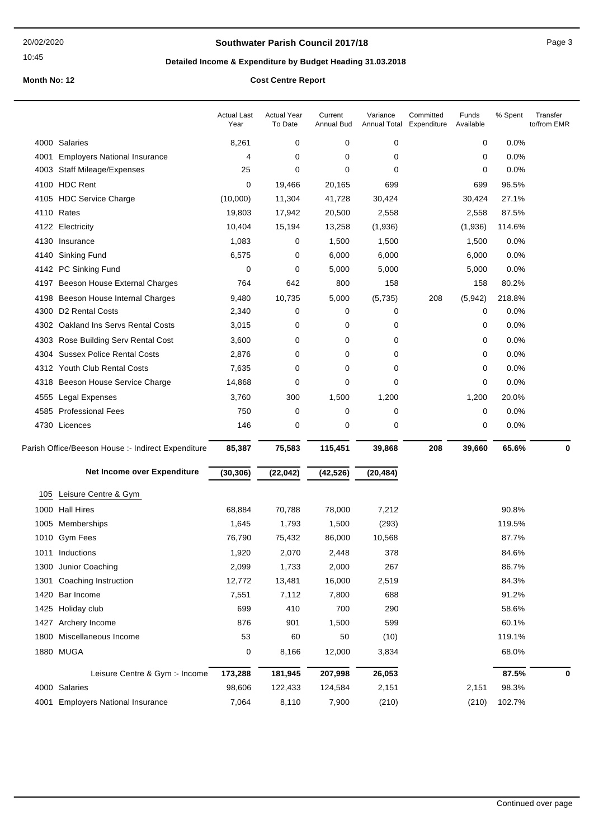## **Southwater Parish Council 2017/18** Page 3

# **Detailed Income & Expenditure by Budget Heading 31.03.2018**

|      |                                                    | <b>Actual Last</b><br>Year | <b>Actual Year</b><br>To Date | Current<br>Annual Bud | Variance<br><b>Annual Total</b> | Committed<br>Expenditure | Funds<br>Available | % Spent | Transfer<br>to/from EMR |
|------|----------------------------------------------------|----------------------------|-------------------------------|-----------------------|---------------------------------|--------------------------|--------------------|---------|-------------------------|
|      | 4000 Salaries                                      | 8,261                      | 0                             | 0                     | 0                               |                          | 0                  | 0.0%    |                         |
| 4001 | <b>Employers National Insurance</b>                | 4                          | 0                             | 0                     | 0                               |                          | 0                  | 0.0%    |                         |
| 4003 | <b>Staff Mileage/Expenses</b>                      | 25                         | 0                             | 0                     | 0                               |                          | 0                  | 0.0%    |                         |
| 4100 | <b>HDC Rent</b>                                    | 0                          | 19,466                        | 20,165                | 699                             |                          | 699                | 96.5%   |                         |
|      | 4105 HDC Service Charge                            | (10,000)                   | 11,304                        | 41,728                | 30,424                          |                          | 30,424             | 27.1%   |                         |
|      | 4110 Rates                                         | 19,803                     | 17,942                        | 20,500                | 2,558                           |                          | 2,558              | 87.5%   |                         |
|      | 4122 Electricity                                   | 10,404                     | 15,194                        | 13,258                | (1,936)                         |                          | (1,936)            | 114.6%  |                         |
|      | 4130 Insurance                                     | 1,083                      | 0                             | 1,500                 | 1,500                           |                          | 1,500              | 0.0%    |                         |
|      | 4140 Sinking Fund                                  | 6,575                      | 0                             | 6,000                 | 6,000                           |                          | 6,000              | 0.0%    |                         |
|      | 4142 PC Sinking Fund                               | 0                          | 0                             | 5,000                 | 5,000                           |                          | 5,000              | 0.0%    |                         |
| 4197 | Beeson House External Charges                      | 764                        | 642                           | 800                   | 158                             |                          | 158                | 80.2%   |                         |
| 4198 | Beeson House Internal Charges                      | 9,480                      | 10,735                        | 5,000                 | (5,735)                         | 208                      | (5, 942)           | 218.8%  |                         |
| 4300 | D2 Rental Costs                                    | 2,340                      | 0                             | 0                     | 0                               |                          | 0                  | 0.0%    |                         |
|      | 4302 Oakland Ins Servs Rental Costs                | 3,015                      | 0                             | 0                     | 0                               |                          | 0                  | 0.0%    |                         |
| 4303 | Rose Building Serv Rental Cost                     | 3,600                      | 0                             | 0                     | 0                               |                          | 0                  | 0.0%    |                         |
| 4304 | <b>Sussex Police Rental Costs</b>                  | 2,876                      | 0                             | 0                     | 0                               |                          | 0                  | 0.0%    |                         |
|      | 4312 Youth Club Rental Costs                       | 7,635                      | 0                             | 0                     | 0                               |                          | 0                  | 0.0%    |                         |
| 4318 | Beeson House Service Charge                        | 14,868                     | 0                             | 0                     | 0                               |                          | 0                  | 0.0%    |                         |
| 4555 | <b>Legal Expenses</b>                              | 3,760                      | 300                           | 1,500                 | 1,200                           |                          | 1,200              | 20.0%   |                         |
| 4585 | <b>Professional Fees</b>                           | 750                        | 0                             | 0                     | 0                               |                          | 0                  | 0.0%    |                         |
|      | 4730 Licences                                      | 146                        | 0                             | 0                     | 0                               |                          | 0                  | 0.0%    |                         |
|      | Parish Office/Beeson House :- Indirect Expenditure | 85,387                     | 75,583                        | 115,451               | 39,868                          | 208                      | 39,660             | 65.6%   | $\bf{0}$                |
|      | Net Income over Expenditure                        | (30, 306)                  | (22, 042)                     | (42, 526)             | (20, 484)                       |                          |                    |         |                         |
| 105  | Leisure Centre & Gym                               |                            |                               |                       |                                 |                          |                    |         |                         |
| 1000 | <b>Hall Hires</b>                                  | 68,884                     | 70,788                        | 78,000                | 7,212                           |                          |                    | 90.8%   |                         |
|      | 1005 Memberships                                   | 1,645                      | 1,793                         | 1,500                 | (293)                           |                          |                    | 119.5%  |                         |
| 1010 | <b>Gym Fees</b>                                    | 76,790                     | 75,432                        | 86,000                | 10,568                          |                          |                    | 87.7%   |                         |
|      | 1011 Inductions                                    | 1,920                      | 2,070                         | 2,448                 | 378                             |                          |                    | 84.6%   |                         |
| 1300 | Junior Coaching                                    | 2,099                      | 1,733                         | 2,000                 | 267                             |                          |                    | 86.7%   |                         |
| 1301 | Coaching Instruction                               | 12,772                     | 13,481                        | 16,000                | 2,519                           |                          |                    | 84.3%   |                         |
| 1420 | Bar Income                                         | 7,551                      | 7,112                         | 7,800                 | 688                             |                          |                    | 91.2%   |                         |
| 1425 | Holiday club                                       | 699                        | 410                           | 700                   | 290                             |                          |                    | 58.6%   |                         |
| 1427 | Archery Income                                     | 876                        | 901                           | 1,500                 | 599                             |                          |                    | 60.1%   |                         |
| 1800 | Miscellaneous Income                               | 53                         | 60                            | 50                    | (10)                            |                          |                    | 119.1%  |                         |
|      | 1880 MUGA                                          | 0                          | 8,166                         | 12,000                | 3,834                           |                          |                    | 68.0%   |                         |
|      | Leisure Centre & Gym :- Income                     | 173,288                    | 181,945                       | 207,998               | 26,053                          |                          |                    | 87.5%   | 0                       |
|      | 4000 Salaries                                      | 98,606                     | 122,433                       | 124,584               | 2,151                           |                          | 2,151              | 98.3%   |                         |
| 4001 | <b>Employers National Insurance</b>                | 7,064                      | 8,110                         | 7,900                 | (210)                           |                          | (210)              | 102.7%  |                         |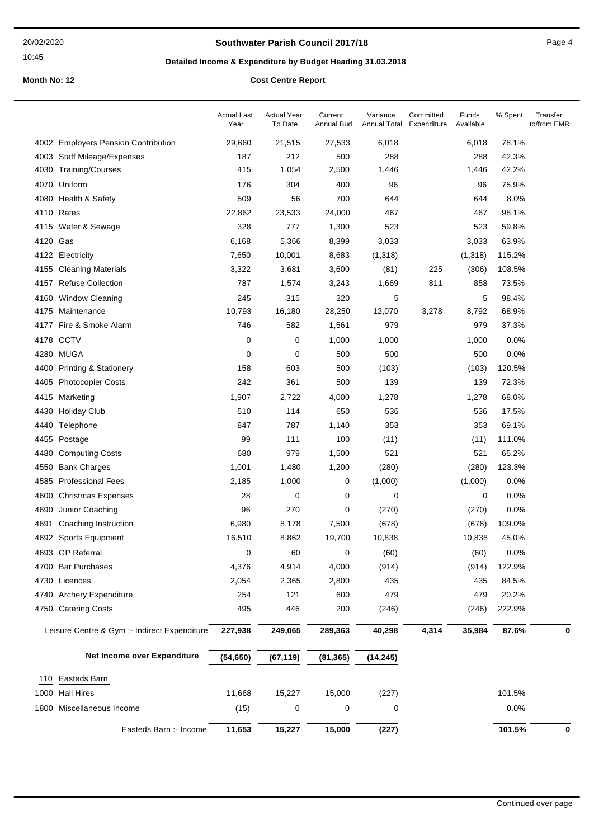#### 20/02/2020

### 10:45

## **Southwater Parish Council 2017/18** Page 4

# **Detailed Income & Expenditure by Budget Heading 31.03.2018**

|          |                                              | <b>Actual Last</b><br>Year | <b>Actual Year</b><br>To Date | Current<br>Annual Bud | Variance<br>Annual Total | Committed<br>Expenditure | Funds<br>Available | % Spent | Transfer<br>to/from EMR |
|----------|----------------------------------------------|----------------------------|-------------------------------|-----------------------|--------------------------|--------------------------|--------------------|---------|-------------------------|
|          | 4002 Employers Pension Contribution          | 29,660                     | 21,515                        | 27,533                | 6,018                    |                          | 6,018              | 78.1%   |                         |
| 4003     | <b>Staff Mileage/Expenses</b>                | 187                        | 212                           | 500                   | 288                      |                          | 288                | 42.3%   |                         |
|          | 4030 Training/Courses                        | 415                        | 1,054                         | 2,500                 | 1,446                    |                          | 1,446              | 42.2%   |                         |
| 4070     | Uniform                                      | 176                        | 304                           | 400                   | 96                       |                          | 96                 | 75.9%   |                         |
|          | 4080 Health & Safety                         | 509                        | 56                            | 700                   | 644                      |                          | 644                | 8.0%    |                         |
|          | 4110 Rates                                   | 22,862                     | 23,533                        | 24,000                | 467                      |                          | 467                | 98.1%   |                         |
|          | 4115 Water & Sewage                          | 328                        | 777                           | 1,300                 | 523                      |                          | 523                | 59.8%   |                         |
| 4120 Gas |                                              | 6,168                      | 5,366                         | 8,399                 | 3,033                    |                          | 3,033              | 63.9%   |                         |
|          | 4122 Electricity                             | 7,650                      | 10,001                        | 8,683                 | (1, 318)                 |                          | (1,318)            | 115.2%  |                         |
|          | 4155 Cleaning Materials                      | 3,322                      | 3,681                         | 3,600                 | (81)                     | 225                      | (306)              | 108.5%  |                         |
|          | 4157 Refuse Collection                       | 787                        | 1,574                         | 3,243                 | 1,669                    | 811                      | 858                | 73.5%   |                         |
| 4160     | <b>Window Cleaning</b>                       | 245                        | 315                           | 320                   | 5                        |                          | 5                  | 98.4%   |                         |
|          | 4175 Maintenance                             | 10,793                     | 16,180                        | 28,250                | 12,070                   | 3,278                    | 8,792              | 68.9%   |                         |
|          | 4177 Fire & Smoke Alarm                      | 746                        | 582                           | 1,561                 | 979                      |                          | 979                | 37.3%   |                         |
| 4178     | <b>CCTV</b>                                  | 0                          | 0                             | 1,000                 | 1,000                    |                          | 1,000              | 0.0%    |                         |
|          | 4280 MUGA                                    | 0                          | 0                             | 500                   | 500                      |                          | 500                | 0.0%    |                         |
|          | 4400 Printing & Stationery                   | 158                        | 603                           | 500                   | (103)                    |                          | (103)              | 120.5%  |                         |
| 4405     | <b>Photocopier Costs</b>                     | 242                        | 361                           | 500                   | 139                      |                          | 139                | 72.3%   |                         |
| 4415     | Marketing                                    | 1,907                      | 2,722                         | 4,000                 | 1,278                    |                          | 1,278              | 68.0%   |                         |
| 4430     | <b>Holiday Club</b>                          | 510                        | 114                           | 650                   | 536                      |                          | 536                | 17.5%   |                         |
| 4440     | Telephone                                    | 847                        | 787                           | 1,140                 | 353                      |                          | 353                | 69.1%   |                         |
|          | 4455 Postage                                 | 99                         | 111                           | 100                   | (11)                     |                          | (11)               | 111.0%  |                         |
| 4480     | <b>Computing Costs</b>                       | 680                        | 979                           | 1,500                 | 521                      |                          | 521                | 65.2%   |                         |
| 4550     | <b>Bank Charges</b>                          | 1,001                      | 1,480                         | 1,200                 | (280)                    |                          | (280)              | 123.3%  |                         |
|          | 4585 Professional Fees                       | 2,185                      | 1,000                         | 0                     | (1,000)                  |                          | (1,000)            | 0.0%    |                         |
| 4600     | <b>Christmas Expenses</b>                    | 28                         | 0                             | 0                     | 0                        |                          | 0                  | 0.0%    |                         |
| 4690     | Junior Coaching                              | 96                         | 270                           | 0                     | (270)                    |                          | (270)              | 0.0%    |                         |
| 4691     | Coaching Instruction                         | 6,980                      | 8,178                         | 7,500                 | (678)                    |                          | (678)              | 109.0%  |                         |
|          | 4692 Sports Equipment                        | 16,510                     | 8,862                         | 19,700                | 10,838                   |                          | 10,838             | 45.0%   |                         |
|          | 4693 GP Referral                             | 0                          | 60                            | 0                     | (60)                     |                          | (60)               | 0.0%    |                         |
|          | 4700 Bar Purchases                           | 4,376                      | 4,914                         | 4,000                 | (914)                    |                          | (914)              | 122.9%  |                         |
|          | 4730 Licences                                | 2,054                      | 2,365                         | 2,800                 | 435                      |                          | 435                | 84.5%   |                         |
|          | 4740 Archery Expenditure                     | 254                        | 121                           | 600                   | 479                      |                          | 479                | 20.2%   |                         |
|          | 4750 Catering Costs                          | 495                        | 446                           | 200                   | (246)                    |                          | (246)              | 222.9%  |                         |
|          | Leisure Centre & Gym :- Indirect Expenditure | 227,938                    | 249,065                       | 289,363               | 40,298                   | 4,314                    | 35,984             | 87.6%   | 0                       |
|          | Net Income over Expenditure                  | (54, 650)                  | (67, 119)                     | (81, 365)             | (14, 245)                |                          |                    |         |                         |
|          | 110 Easteds Barn                             |                            |                               |                       |                          |                          |                    |         |                         |
|          | 1000 Hall Hires                              | 11,668                     | 15,227                        | 15,000                | (227)                    |                          |                    | 101.5%  |                         |
|          | 1800 Miscellaneous Income                    | (15)                       | 0                             | 0                     | 0                        |                          |                    | 0.0%    |                         |
|          | Easteds Barn :- Income                       | 11,653                     | 15,227                        | 15,000                | (227)                    |                          |                    | 101.5%  | 0                       |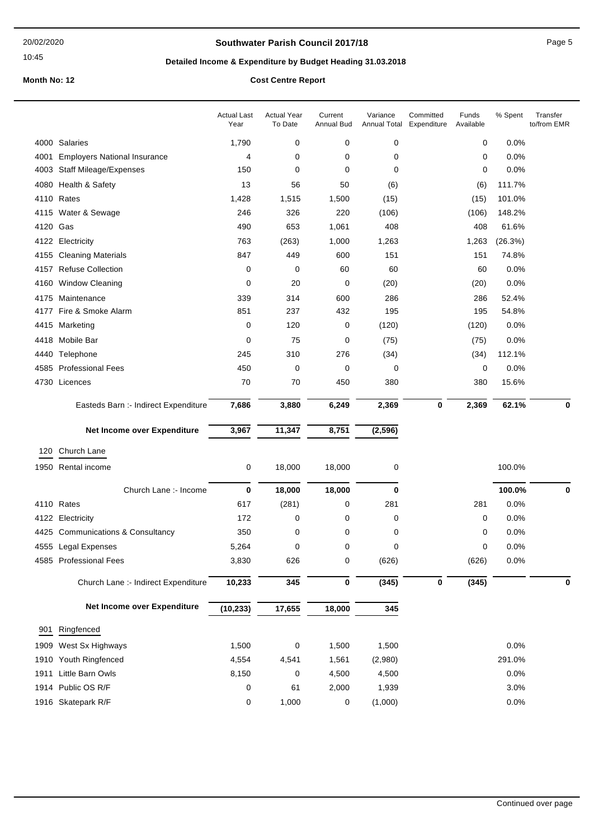## **Southwater Parish Council 2017/18** Page 5

# **Detailed Income & Expenditure by Budget Heading 31.03.2018**

|          |                                      | <b>Actual Last</b><br>Year | <b>Actual Year</b><br>To Date | Current<br><b>Annual Bud</b> | Variance<br>Annual Total | Committed<br>Expenditure | Funds<br>Available | % Spent | Transfer<br>to/from EMR |
|----------|--------------------------------------|----------------------------|-------------------------------|------------------------------|--------------------------|--------------------------|--------------------|---------|-------------------------|
|          | 4000 Salaries                        | 1,790                      | 0                             | 0                            | 0                        |                          | $\mathbf 0$        | 0.0%    |                         |
| 4001     | <b>Employers National Insurance</b>  | 4                          | 0                             | 0                            | 0                        |                          | 0                  | 0.0%    |                         |
|          | 4003 Staff Mileage/Expenses          | 150                        | 0                             | $\mathbf 0$                  | 0                        |                          | 0                  | 0.0%    |                         |
|          | 4080 Health & Safety                 | 13                         | 56                            | 50                           | (6)                      |                          | (6)                | 111.7%  |                         |
|          | 4110 Rates                           | 1,428                      | 1,515                         | 1,500                        | (15)                     |                          | (15)               | 101.0%  |                         |
|          | 4115 Water & Sewage                  | 246                        | 326                           | 220                          | (106)                    |                          | (106)              | 148.2%  |                         |
| 4120 Gas |                                      | 490                        | 653                           | 1,061                        | 408                      |                          | 408                | 61.6%   |                         |
|          | 4122 Electricity                     | 763                        | (263)                         | 1,000                        | 1,263                    |                          | 1,263              | (26.3%) |                         |
|          | 4155 Cleaning Materials              | 847                        | 449                           | 600                          | 151                      |                          | 151                | 74.8%   |                         |
|          | 4157 Refuse Collection               | 0                          | 0                             | 60                           | 60                       |                          | 60                 | 0.0%    |                         |
|          | 4160 Window Cleaning                 | 0                          | 20                            | 0                            | (20)                     |                          | (20)               | 0.0%    |                         |
| 4175     | Maintenance                          | 339                        | 314                           | 600                          | 286                      |                          | 286                | 52.4%   |                         |
|          | 4177 Fire & Smoke Alarm              | 851                        | 237                           | 432                          | 195                      |                          | 195                | 54.8%   |                         |
|          | 4415 Marketing                       | 0                          | 120                           | 0                            | (120)                    |                          | (120)              | 0.0%    |                         |
| 4418     | Mobile Bar                           | 0                          | 75                            | 0                            | (75)                     |                          | (75)               | 0.0%    |                         |
|          | 4440 Telephone                       | 245                        | 310                           | 276                          | (34)                     |                          | (34)               | 112.1%  |                         |
|          | 4585 Professional Fees               | 450                        | 0                             | 0                            | 0                        |                          | 0                  | 0.0%    |                         |
|          | 4730 Licences                        | 70                         | 70                            | 450                          | 380                      |                          | 380                | 15.6%   |                         |
|          | Easteds Barn :- Indirect Expenditure | 7,686                      | 3,880                         | 6,249                        | 2,369                    | 0                        | 2,369              | 62.1%   | $\mathbf 0$             |
|          | Net Income over Expenditure          | 3,967                      | 11,347                        | 8,751                        | (2, 596)                 |                          |                    |         |                         |
|          | Church Lane                          |                            |                               |                              |                          |                          |                    |         |                         |
| 120      |                                      |                            |                               |                              |                          |                          |                    |         |                         |
|          | 1950 Rental income                   | 0                          | 18,000                        | 18,000                       | 0                        |                          |                    | 100.0%  |                         |
|          | Church Lane :- Income                | $\bf{0}$                   | 18,000                        | 18,000                       | 0                        |                          |                    | 100.0%  | 0                       |
|          | 4110 Rates                           | 617                        | (281)                         | 0                            | 281                      |                          | 281                | 0.0%    |                         |
|          | 4122 Electricity                     | 172                        | 0                             | 0                            | 0                        |                          | 0                  | 0.0%    |                         |
|          | 4425 Communications & Consultancy    | 350                        | 0                             | 0                            | 0                        |                          | 0                  | 0.0%    |                         |
|          | 4555 Legal Expenses                  | 5,264                      | 0                             | 0                            | 0                        |                          | 0                  | 0.0%    |                         |
|          | 4585 Professional Fees               | 3,830                      | 626                           | 0                            | (626)                    |                          | (626)              | 0.0%    |                         |
|          | Church Lane :- Indirect Expenditure  | 10,233                     | 345                           | 0                            | (345)                    | 0                        | (345)              |         | 0                       |
|          | Net Income over Expenditure          | (10, 233)                  | 17,655                        | 18,000                       | 345                      |                          |                    |         |                         |
| 901      | Ringfenced                           |                            |                               |                              |                          |                          |                    |         |                         |
|          |                                      |                            |                               |                              |                          |                          |                    |         |                         |
| 1909     | West Sx Highways                     | 1,500                      | 0                             | 1,500                        | 1,500                    |                          |                    | 0.0%    |                         |
| 1910     | Youth Ringfenced                     | 4,554                      | 4,541                         | 1,561                        | (2,980)                  |                          |                    | 291.0%  |                         |
| 1911     | Little Barn Owls                     | 8,150                      | 0                             | 4,500                        | 4,500                    |                          |                    | 0.0%    |                         |
|          | 1914 Public OS R/F                   | 0                          | 61                            | 2,000                        | 1,939                    |                          |                    | 3.0%    |                         |
|          | 1916 Skatepark R/F                   | 0                          | 1,000                         | 0                            | (1,000)                  |                          |                    | 0.0%    |                         |